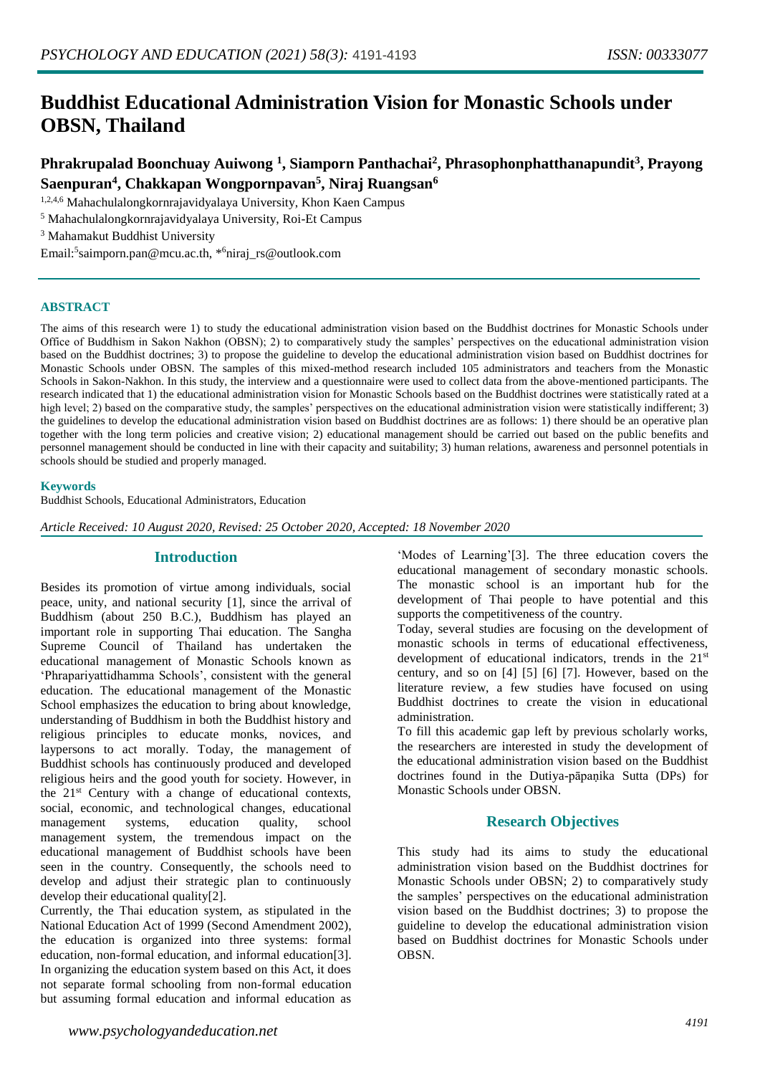# **Buddhist Educational Administration Vision for Monastic Schools under OBSN, Thailand**

## **Phrakrupalad Boonchuay Auiwong <sup>1</sup> , Siamporn Panthachai<sup>2</sup> , Phrasophonphatthanapundit<sup>3</sup> , Prayong Saenpuran<sup>4</sup> , Chakkapan Wongpornpavan<sup>5</sup> , Niraj Ruangsan<sup>6</sup>**

1,2,4,6 Mahachulalongkornrajavidyalaya University, Khon Kaen Campus

<sup>5</sup> Mahachulalongkornrajavidyalaya University, Roi-Et Campus

<sup>3</sup> Mahamakut Buddhist University

Email:<sup>5</sup>saimporn.pan@mcu.ac.th, \*<sup>6</sup>niraj\_rs@outlook.com

### **ABSTRACT**

The aims of this research were 1) to study the educational administration vision based on the Buddhist doctrines for Monastic Schools under Office of Buddhism in Sakon Nakhon (OBSN); 2) to comparatively study the samples' perspectives on the educational administration vision based on the Buddhist doctrines; 3) to propose the guideline to develop the educational administration vision based on Buddhist doctrines for Monastic Schools under OBSN. The samples of this mixed-method research included 105 administrators and teachers from the Monastic Schools in Sakon-Nakhon. In this study, the interview and a questionnaire were used to collect data from the above-mentioned participants. The research indicated that 1) the educational administration vision for Monastic Schools based on the Buddhist doctrines were statistically rated at a high level; 2) based on the comparative study, the samples' perspectives on the educational administration vision were statistically indifferent; 3) the guidelines to develop the educational administration vision based on Buddhist doctrines are as follows: 1) there should be an operative plan together with the long term policies and creative vision; 2) educational management should be carried out based on the public benefits and personnel management should be conducted in line with their capacity and suitability; 3) human relations, awareness and personnel potentials in schools should be studied and properly managed.

### **Keywords**

Buddhist Schools, Educational Administrators, Education

*Article Received: 10 August 2020, Revised: 25 October 2020, Accepted: 18 November 2020*

## **Introduction**

Besides its promotion of virtue among individuals, social peace, unity, and national security [1], since the arrival of Buddhism (about 250 B.C.), Buddhism has played an important role in supporting Thai education. The Sangha Supreme Council of Thailand has undertaken the educational management of Monastic Schools known as 'Phrapariyattidhamma Schools', consistent with the general education. The educational management of the Monastic School emphasizes the education to bring about knowledge, understanding of Buddhism in both the Buddhist history and religious principles to educate monks, novices, and laypersons to act morally. Today, the management of Buddhist schools has continuously produced and developed religious heirs and the good youth for society. However, in the 21<sup>st</sup> Century with a change of educational contexts, social, economic, and technological changes, educational management systems, education quality, school management system, the tremendous impact on the educational management of Buddhist schools have been seen in the country. Consequently, the schools need to develop and adjust their strategic plan to continuously develop their educational quality[2].

Currently, the Thai education system, as stipulated in the National Education Act of 1999 (Second Amendment 2002), the education is organized into three systems: formal education, non-formal education, and informal education[3]. In organizing the education system based on this Act, it does not separate formal schooling from non-formal education but assuming formal education and informal education as

**OBSN.** 

'Modes of Learning'[3]. The three education covers the educational management of secondary monastic schools. The monastic school is an important hub for the development of Thai people to have potential and this supports the competitiveness of the country.

Today, several studies are focusing on the development of monastic schools in terms of educational effectiveness, development of educational indicators, trends in the 21<sup>st</sup> century, and so on [4] [5] [6] [7]. However, based on the literature review, a few studies have focused on using Buddhist doctrines to create the vision in educational administration.

To fill this academic gap left by previous scholarly works, the researchers are interested in study the development of the educational administration vision based on the Buddhist doctrines found in the Dutiya-pāpaṇika Sutta (DPs) for Monastic Schools under OBSN.

## **Research Objectives**

This study had its aims to study the educational administration vision based on the Buddhist doctrines for Monastic Schools under OBSN; 2) to comparatively study the samples' perspectives on the educational administration vision based on the Buddhist doctrines; 3) to propose the guideline to develop the educational administration vision based on Buddhist doctrines for Monastic Schools under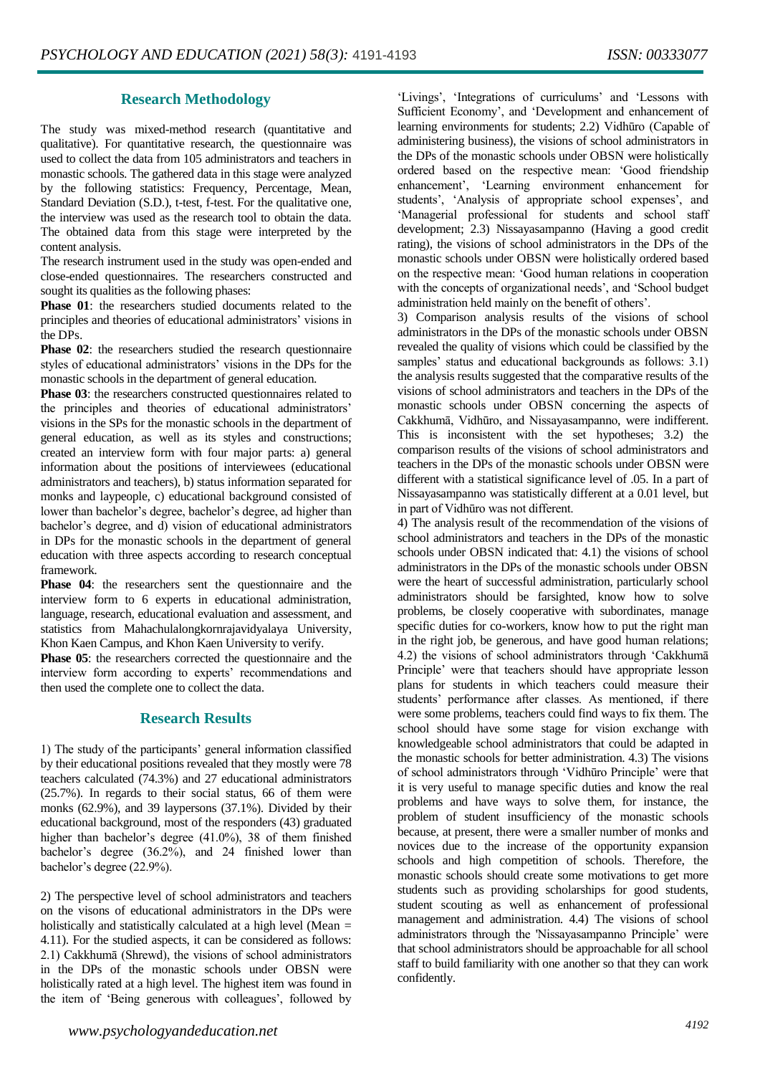## **Research Methodology**

The study was mixed-method research (quantitative and qualitative). For quantitative research, the questionnaire was used to collect the data from 105 administrators and teachers in monastic schools. The gathered data in this stage were analyzed by the following statistics: Frequency, Percentage, Mean, Standard Deviation (S.D.), t-test, f-test. For the qualitative one, the interview was used as the research tool to obtain the data. The obtained data from this stage were interpreted by the content analysis.

The research instrument used in the study was open-ended and close-ended questionnaires. The researchers constructed and sought its qualities as the following phases:

**Phase 01**: the researchers studied documents related to the principles and theories of educational administrators' visions in the DPs.

**Phase 02:** the researchers studied the research questionnaire styles of educational administrators' visions in the DPs for the monastic schools in the department of general education.

**Phase 03**: the researchers constructed questionnaires related to the principles and theories of educational administrators' visions in the SPs for the monastic schools in the department of general education, as well as its styles and constructions; created an interview form with four major parts: a) general information about the positions of interviewees (educational administrators and teachers), b) status information separated for monks and laypeople, c) educational background consisted of lower than bachelor's degree, bachelor's degree, ad higher than bachelor's degree, and d) vision of educational administrators in DPs for the monastic schools in the department of general education with three aspects according to research conceptual framework.

**Phase 04**: the researchers sent the questionnaire and the interview form to 6 experts in educational administration, language, research, educational evaluation and assessment, and statistics from Mahachulalongkornrajavidyalaya University, Khon Kaen Campus, and Khon Kaen University to verify.

**Phase 05**: the researchers corrected the questionnaire and the interview form according to experts' recommendations and then used the complete one to collect the data.

## **Research Results**

1) The study of the participants' general information classified by their educational positions revealed that they mostly were 78 teachers calculated (74.3%) and 27 educational administrators (25.7%). In regards to their social status, 66 of them were monks (62.9%), and 39 laypersons (37.1%). Divided by their educational background, most of the responders (43) graduated higher than bachelor's degree (41.0%), 38 of them finished bachelor's degree (36.2%), and 24 finished lower than bachelor's degree (22.9%).

2) The perspective level of school administrators and teachers on the visons of educational administrators in the DPs were holistically and statistically calculated at a high level (Mean = 4.11). For the studied aspects, it can be considered as follows: 2.1) Cakkhumā (Shrewd), the visions of school administrators in the DPs of the monastic schools under OBSN were holistically rated at a high level. The highest item was found in the item of 'Being generous with colleagues', followed by

'Livings', 'Integrations of curriculums' and 'Lessons with Sufficient Economy', and 'Development and enhancement of learning environments for students; 2.2) Vidhūro (Capable of administering business), the visions of school administrators in the DPs of the monastic schools under OBSN were holistically ordered based on the respective mean: 'Good friendship enhancement', 'Learning environment enhancement for students', 'Analysis of appropriate school expenses', and 'Managerial professional for students and school staff development; 2.3) Nissayasampanno (Having a good credit rating), the visions of school administrators in the DPs of the monastic schools under OBSN were holistically ordered based on the respective mean: 'Good human relations in cooperation with the concepts of organizational needs', and 'School budget administration held mainly on the benefit of others'.

3) Comparison analysis results of the visions of school administrators in the DPs of the monastic schools under OBSN revealed the quality of visions which could be classified by the samples' status and educational backgrounds as follows: 3.1) the analysis results suggested that the comparative results of the visions of school administrators and teachers in the DPs of the monastic schools under OBSN concerning the aspects of Cakkhumā, Vidhūro, and Nissayasampanno, were indifferent. This is inconsistent with the set hypotheses; 3.2) the comparison results of the visions of school administrators and teachers in the DPs of the monastic schools under OBSN were different with a statistical significance level of .05. In a part of Nissayasampanno was statistically different at a 0.01 level, but in part of Vidhūro was not different.

4) The analysis result of the recommendation of the visions of school administrators and teachers in the DPs of the monastic schools under OBSN indicated that: 4.1) the visions of school administrators in the DPs of the monastic schools under OBSN were the heart of successful administration, particularly school administrators should be farsighted, know how to solve problems, be closely cooperative with subordinates, manage specific duties for co-workers, know how to put the right man in the right job, be generous, and have good human relations; 4.2) the visions of school administrators through 'Cakkhumā Principle' were that teachers should have appropriate lesson plans for students in which teachers could measure their students' performance after classes. As mentioned, if there were some problems, teachers could find ways to fix them. The school should have some stage for vision exchange with knowledgeable school administrators that could be adapted in the monastic schools for better administration. 4.3) The visions of school administrators through 'Vidhūro Principle' were that it is very useful to manage specific duties and know the real problems and have ways to solve them, for instance, the problem of student insufficiency of the monastic schools because, at present, there were a smaller number of monks and novices due to the increase of the opportunity expansion schools and high competition of schools. Therefore, the monastic schools should create some motivations to get more students such as providing scholarships for good students, student scouting as well as enhancement of professional management and administration. 4.4) The visions of school administrators through the 'Nissayasampanno Principle' were that school administrators should be approachable for all school staff to build familiarity with one another so that they can work confidently.